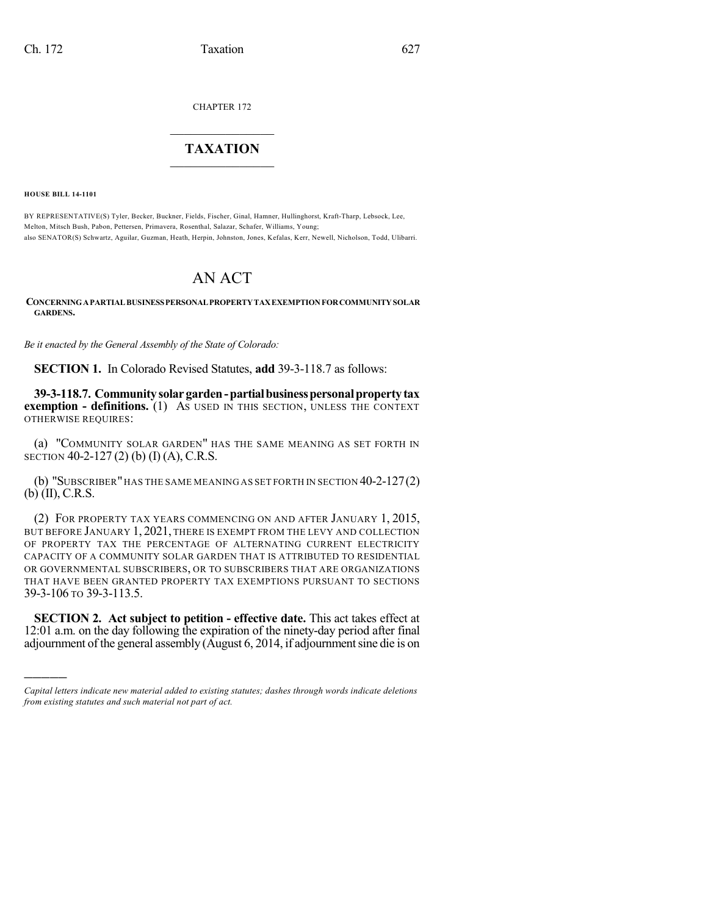CHAPTER 172

## $\overline{\phantom{a}}$  . The set of the set of the set of the set of the set of the set of the set of the set of the set of the set of the set of the set of the set of the set of the set of the set of the set of the set of the set o **TAXATION**  $\_$

**HOUSE BILL 14-1101**

)))))

BY REPRESENTATIVE(S) Tyler, Becker, Buckner, Fields, Fischer, Ginal, Hamner, Hullinghorst, Kraft-Tharp, Lebsock, Lee, Melton, Mitsch Bush, Pabon, Pettersen, Primavera, Rosenthal, Salazar, Schafer, Williams, Young; also SENATOR(S) Schwartz, Aguilar, Guzman, Heath, Herpin, Johnston, Jones, Kefalas, Kerr, Newell, Nicholson, Todd, Ulibarri.

## AN ACT

**CONCERNINGAPARTIALBUSINESSPERSONALPROPERTYTAXEXEMPTIONFORCOMMUNITYSOLAR GARDENS.**

*Be it enacted by the General Assembly of the State of Colorado:*

**SECTION 1.** In Colorado Revised Statutes, **add** 39-3-118.7 as follows:

**39-3-118.7. Communitysolargarden-partialbusinesspersonalpropertytax exemption - definitions.** (1) AS USED IN THIS SECTION, UNLESS THE CONTEXT OTHERWISE REQUIRES:

(a) "COMMUNITY SOLAR GARDEN" HAS THE SAME MEANING AS SET FORTH IN SECTION 40-2-127 (2) (b) (I) (A), C.R.S.

(b) "SUBSCRIBER"HAS THE SAME MEANING AS SET FORTH IN SECTION 40-2-127(2) (b) (II), C.R.S.

(2) FOR PROPERTY TAX YEARS COMMENCING ON AND AFTER JANUARY 1, 2015, BUT BEFORE JANUARY 1, 2021, THERE IS EXEMPT FROM THE LEVY AND COLLECTION OF PROPERTY TAX THE PERCENTAGE OF ALTERNATING CURRENT ELECTRICITY CAPACITY OF A COMMUNITY SOLAR GARDEN THAT IS ATTRIBUTED TO RESIDENTIAL OR GOVERNMENTAL SUBSCRIBERS, OR TO SUBSCRIBERS THAT ARE ORGANIZATIONS THAT HAVE BEEN GRANTED PROPERTY TAX EXEMPTIONS PURSUANT TO SECTIONS 39-3-106 TO 39-3-113.5.

**SECTION 2. Act subject to petition - effective date.** This act takes effect at 12:01 a.m. on the day following the expiration of the ninety-day period after final adjournment of the general assembly (August 6, 2014, if adjournment sine die is on

*Capital letters indicate new material added to existing statutes; dashes through words indicate deletions from existing statutes and such material not part of act.*